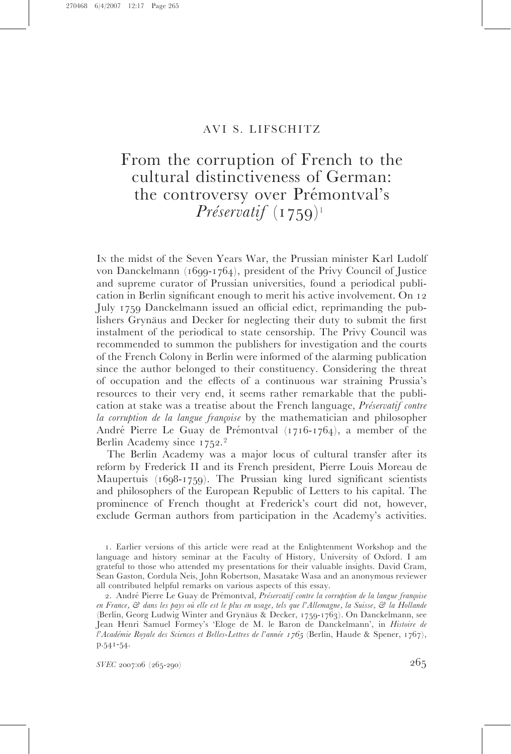## AVI S. LIFSCHITZ

# From the corruption of French to the cultural distinctiveness of German: the controversy over Prémontval's Préservatif  $(1759)^1$

I<sup>N</sup> the midst of the Seven Years War, the Prussian minister Karl Ludolf von Danckelmann (1699-1764), president of the Privy Council of Justice and supreme curator of Prussian universities, found a periodical publication in Berlin significant enough to merit his active involvement. On 12 July 1759 Danckelmann issued an official edict, reprimanding the publishers Grynaüs and Decker for neglecting their duty to submit the first instalment of the periodical to state censorship. The Privy Council was recommended to summon the publishers for investigation and the courts of the French Colony in Berlin were informed of the alarming publication since the author belonged to their constituency. Considering the threat of occupation and the effects of a continuous war straining Prussia's resources to their very end, it seems rather remarkable that the publication at stake was a treatise about the French language, *Préservatif contre* la corruption de la langue françoise by the mathematician and philosopher André Pierre Le Guay de Prémontval (1716-1764), a member of the Berlin Academy since 1752. 2

The Berlin Academy was a major locus of cultural transfer after its reform by Frederick II and its French president, Pierre Louis Moreau de Maupertuis (1698-1759). The Prussian king lured significant scientists and philosophers of the European Republic of Letters to his capital. The prominence of French thought at Frederick's court did not, however, exclude German authors from participation in the Academy's activities.

SVEC 2007:06 (265-290)

<sup>1.</sup> Earlier versions of this article were read at the Enlightenment Workshop and the language and history seminar at the Faculty of History, University of Oxford. I am grateful to those who attended my presentations for their valuable insights. David Cram, Sean Gaston, Cordula Neis, John Robertson, Masatake Wasa and an anonymous reviewer all contributed helpful remarks on various aspects of this essay.

<sup>2.</sup> André Pierre Le Guay de Prémontval, Préservatif contre la corruption de la langue françoise en France, & dans les pays où elle est le plus en usage, tels que l'Allemagne, la Suisse, & la Hollande (Berlin, Georg Ludwig Winter and Grynäus & Decker, 1759-1763). On Danckelmann, see Jean Henri Samuel Formey's 'Eloge de M. le Baron de Danckelmann', in Histoire de l'Académie Royale des Sciences et Belles-Lettres de l'année 1765 (Berlin, Haude & Spener, 1767), p.541-54.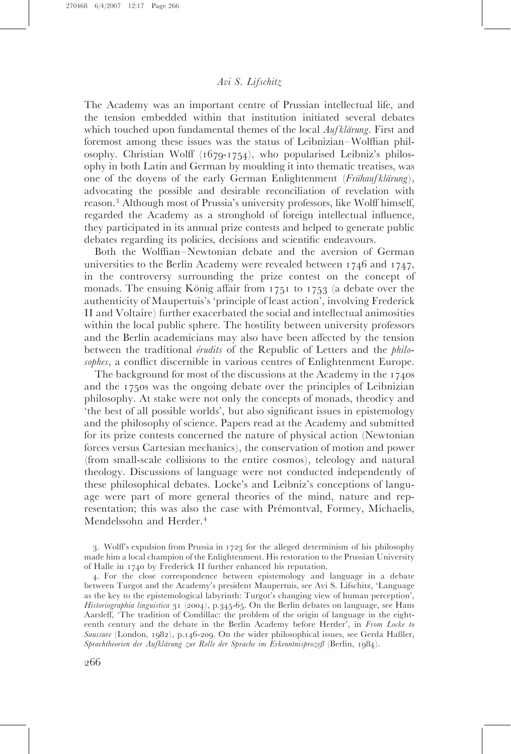The Academy was an important centre of Prussian intellectual life, and the tension embedded within that institution initiated several debates which touched upon fundamental themes of the local  $\text{Aut}$  Klärung. First and foremost among these issues was the status of Leibnizian–Wolffian philosophy. Christian Wolff (1679-1754), who popularised Leibniz's philosophy in both Latin and German by moulding it into thematic treatises, was one of the doyens of the early German Enlightenment (Frühauf klärung), advocating the possible and desirable reconciliation of revelation with reason. <sup>3</sup> Although most of Prussia's university professors, like Wolff himself, regarded the Academy as a stronghold of foreign intellectual influence, they participated in its annual prize contests and helped to generate public debates regarding its policies, decisions and scientific endeavours.

Both the Wolffian–Newtonian debate and the aversion of German universities to the Berlin Academy were revealed between 1746 and 1747, in the controversy surrounding the prize contest on the concept of monads. The ensuing König affair from  $1751$  to  $1753$  (a debate over the authenticity of Maupertuis's 'principle of least action', involving Frederick II and Voltaire) further exacerbated the social and intellectual animosities within the local public sphere. The hostility between university professors and the Berlin academicians may also have been affected by the tension between the traditional *érudits* of the Republic of Letters and the *philo*sophes, a conflict discernible in various centres of Enlightenment Europe.

The background for most of the discussions at the Academy in the 1740s and the 1750s was the ongoing debate over the principles of Leibnizian philosophy. At stake were not only the concepts of monads, theodicy and 'the best of all possible worlds', but also significant issues in epistemology and the philosophy of science. Papers read at the Academy and submitted for its prize contests concerned the nature of physical action (Newtonian forces versus Cartesian mechanics), the conservation of motion and power (from small-scale collisions to the entire cosmos), teleology and natural theology. Discussions of language were not conducted independently of these philosophical debates. Locke's and Leibniz's conceptions of language were part of more general theories of the mind, nature and representation; this was also the case with Prémontval, Formey, Michaelis, Mendelssohn and Herder.<sup>4</sup>

3. Wolff's expulsion from Prussia in 1723 for the alleged determinism of his philosophy made him a local champion of the Enlightenment. His restoration to the Prussian University of Halle in 1740 by Frederick II further enhanced his reputation.

4. For the close correspondence between epistemology and language in a debate between Turgot and the Academy's president Maupertuis, see Avi S. Lifschitz, 'Language as the key to the epistemological labyrinth: Turgot's changing view of human perception', Historiographia linguistica 31 (2004), p.345-65. On the Berlin debates on language, see Hans Aarsleff, 'The tradition of Condillac: the problem of the origin of language in the eighteenth century and the debate in the Berlin Academy before Herder', in From Locke to Saussure (London, 1982), p.146-209. On the wider philosophical issues, see Gerda Haßler, Sprachtheorien der Aufklärung zur Rolle der Sprache im Erkenntnisprozeß (Berlin, 1984).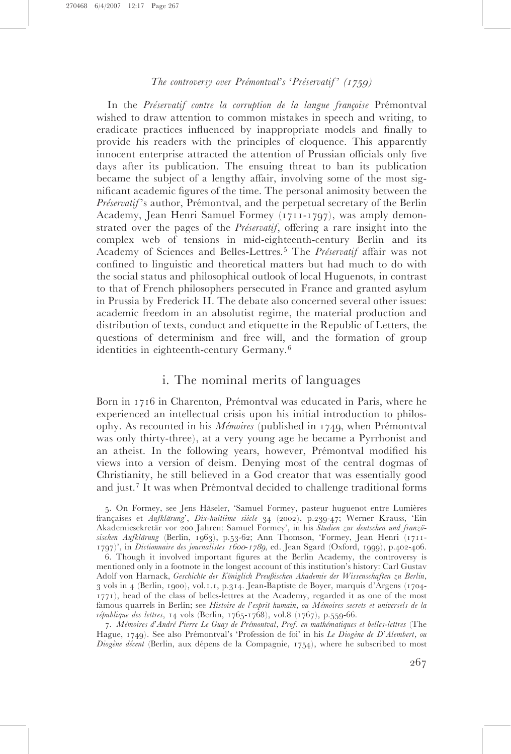In the Préservatif contre la corruption de la langue françoise Prémontval wished to draw attention to common mistakes in speech and writing, to eradicate practices influenced by inappropriate models and finally to provide his readers with the principles of eloquence. This apparently innocent enterprise attracted the attention of Prussian officials only five days after its publication. The ensuing threat to ban its publication became the subject of a lengthy affair, involving some of the most significant academic figures of the time. The personal animosity between the Préservatif's author, Prémontval, and the perpetual secretary of the Berlin Academy, Jean Henri Samuel Formey (1711-1797), was amply demonstrated over the pages of the *Préservatif*, offering a rare insight into the complex web of tensions in mid-eighteenth-century Berlin and its Academy of Sciences and Belles-Lettres.<sup>5</sup> The Préservatif affair was not confined to linguistic and theoretical matters but had much to do with the social status and philosophical outlook of local Huguenots, in contrast to that of French philosophers persecuted in France and granted asylum in Prussia by Frederick II. The debate also concerned several other issues: academic freedom in an absolutist regime, the material production and distribution of texts, conduct and etiquette in the Republic of Letters, the questions of determinism and free will, and the formation of group identities in eighteenth-century Germany.<sup>6</sup>

# i. The nominal merits of languages

Born in 1716 in Charenton, Prémontval was educated in Paris, where he experienced an intellectual crisis upon his initial introduction to philosophy. As recounted in his *Mémoires* (published in 1749, when Prémontval was only thirty-three), at a very young age he became a Pyrrhonist and an atheist. In the following years, however, Prémontval modified his views into a version of deism. Denying most of the central dogmas of Christianity, he still believed in a God creator that was essentially good and just.<sup>7</sup> It was when Prémontval decided to challenge traditional forms

7. Mémoires d'André Pierre Le Guay de Prémontval, Prof. en mathématiques et belles-lettres (The Hague, 1749). See also Prémontval's 'Profession de foi' in his Le Diogène de D'Alembert, ou Diogène décent (Berlin, aux dépens de la Compagnie, 1754), where he subscribed to most

<sup>5.</sup> On Formey, see Jens Häseler, 'Samuel Formey, pasteur huguenot entre Lumières françaises et Aufklärung', Dix-huitième siècle 34 (2002), p.239-47; Werner Krauss, 'Ein Akademiesekretär vor 200 Jahren: Samuel Formey', in his Studien zur deutschen und französischen Aufklärung (Berlin, 1963), p.53-62; Ann Thomson, 'Formey, Jean Henri (1711-1797)', in Dictionnaire des journalistes <sup>1600</sup>-1789, ed. Jean Sgard (Oxford, 1999), p.402-406.

<sup>6.</sup> Though it involved important figures at the Berlin Academy, the controversy is mentioned only in a footnote in the longest account of this institution's history: Carl Gustav Adolf von Harnack, Geschichte der Königlich Preußischen Akademie der Wissenschaften zu Berlin, 3 vols in 4 (Berlin, 1900), vol.1.1, p.314. Jean-Baptiste de Boyer, marquis d'Argens (1704- 1771), head of the class of belles-lettres at the Academy, regarded it as one of the most famous quarrels in Berlin; see Histoire de l'esprit humain, ou Mémoires secrets et universels de la  $r$ épublique des lettres, 14 vols (Berlin, 1765-1768), vol.8 (1767), p.559-66.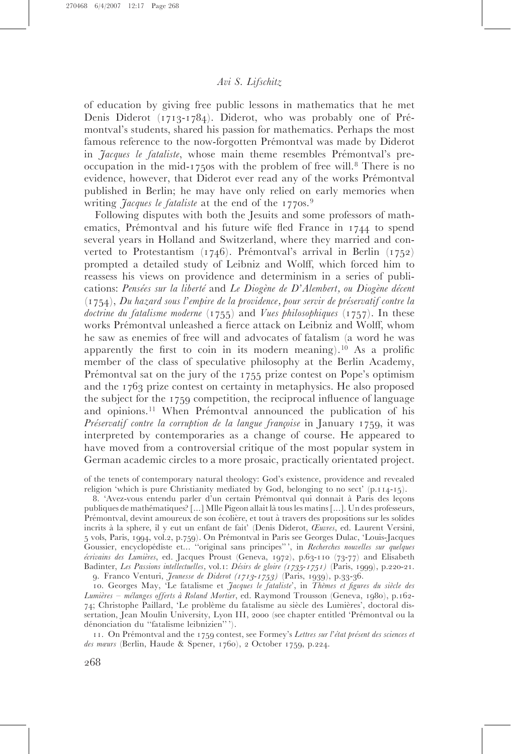of education by giving free public lessons in mathematics that he met Denis Diderot  $(1713-1784)$ . Diderot, who was probably one of Prémontval's students, shared his passion for mathematics. Perhaps the most famous reference to the now-forgotten Prémontval was made by Diderot in *Jacques le fataliste*, whose main theme resembles Prémontval's preoccupation in the mid-1750s with the problem of free will.<sup>8</sup> There is no evidence, however, that Diderot ever read any of the works Prémontval published in Berlin; he may have only relied on early memories when writing *Jacques le fataliste* at the end of the 1770s.<sup>9</sup>

Following disputes with both the Jesuits and some professors of mathematics, Prémontval and his future wife fled France in  $1744$  to spend several years in Holland and Switzerland, where they married and converted to Protestantism (1746). Prémontval's arrival in Berlin (1752) prompted a detailed study of Leibniz and Wolff, which forced him to reassess his views on providence and determinism in a series of publications: Pensées sur la liberté and Le Diogène de D'Alembert, ou Diogène décent  $(1754)$ , Du hazard sous l'empire de la providence, pour servir de préservatif contre la doctrine du fatalisme moderne  $(1755)$  and Vues philosophiques  $(1757)$ . In these works Prémontval unleashed a fierce attack on Leibniz and Wolff, whom he saw as enemies of free will and advocates of fatalism (a word he was apparently the first to coin in its modern meaning).<sup>10</sup> As a prolific member of the class of speculative philosophy at the Berlin Academy, Prémontval sat on the jury of the  $1755$  prize contest on Pope's optimism and the 1763 prize contest on certainty in metaphysics. He also proposed the subject for the 1759 competition, the reciprocal influence of language and opinions.<sup>11</sup> When Prémontval announced the publication of his Préservatif contre la corruption de la langue françoise in January 1759, it was interpreted by contemporaries as a change of course. He appeared to have moved from a controversial critique of the most popular system in German academic circles to a more prosaic, practically orientated project.

of the tenets of contemporary natural theology: God's existence, providence and revealed religion 'which is pure Christianity mediated by God, belonging to no sect' (p.114-15).

8. 'Avez-vous entendu parler d'un certain Prémontval qui donnait à Paris des leçons publiques de mathématiques? [...] Mlle Pigeon allait là tous les matins [...]. Un des professeurs, Prémontval, devint amoureux de son écolière, et tout à travers des propositions sur les solides incrits a` la sphere, il y eut un enfant de fait' (Denis Diderot, Œuvres, ed. Laurent Versini, 5 vols, Paris, 1994, vol.2, p.759). On Pre´montval in Paris see Georges Dulac, 'Louis-Jacques Goussier, encyclopédiste et... "original sans principes"', in Recherches nouvelles sur quelques écrivains des Lumières, ed. Jacques Proust (Geneva, 1972), p.63-110 (73-77) and Elisabeth Badinter, Les Passions intellectuelles, vol.1: Désirs de gloire (1735-1751) (Paris, 1999), p.220-21. 9. Franco Venturi, Jeunesse de Diderot (1713-1753) (Paris, 1939), p.33-36.

10. Georges May, 'Le fatalisme et Jacques le fataliste', in Thèmes et figures du siècle des Lumières – mélanges offerts à Roland Mortier, ed. Raymond Trousson (Geneva, 1980), p.162-74; Christophe Paillard, 'Le problème du fatalisme au siècle des Lumières', doctoral dissertation, Jean Moulin University, Lyon III, 2000 (see chapter entitled 'Prémontval ou la dénonciation du "fatalisme leibnizien"').

11. On Prémontval and the 1759 contest, see Formey's Lettres sur l'état présent des sciences et des mœurs (Berlin, Haude & Spener, 1760), 2 October 1759, p.224.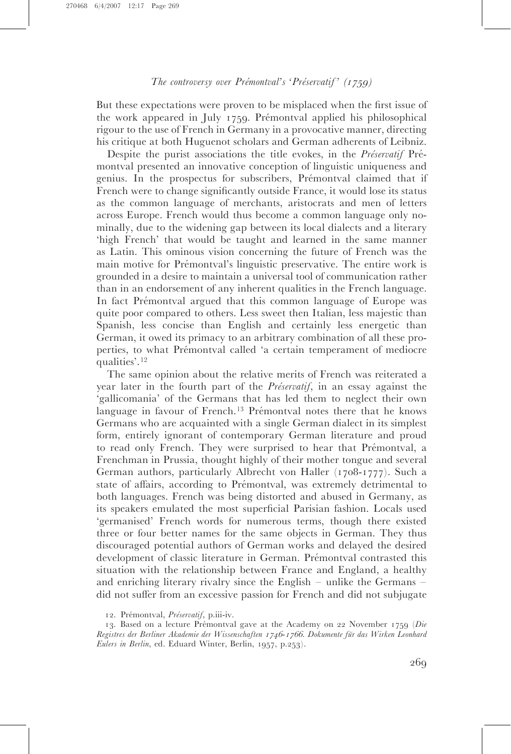But these expectations were proven to be misplaced when the first issue of the work appeared in July 1759. Prémontval applied his philosophical rigour to the use of French in Germany in a provocative manner, directing his critique at both Huguenot scholars and German adherents of Leibniz.

Despite the purist associations the title evokes, in the *Préservatif* Prémontval presented an innovative conception of linguistic uniqueness and genius. In the prospectus for subscribers, Prémontval claimed that if French were to change significantly outside France, it would lose its status as the common language of merchants, aristocrats and men of letters across Europe. French would thus become a common language only nominally, due to the widening gap between its local dialects and a literary 'high French' that would be taught and learned in the same manner as Latin. This ominous vision concerning the future of French was the main motive for Prémontval's linguistic preservative. The entire work is grounded in a desire to maintain a universal tool of communication rather than in an endorsement of any inherent qualities in the French language. In fact Prémontval argued that this common language of Europe was quite poor compared to others. Less sweet then Italian, less majestic than Spanish, less concise than English and certainly less energetic than German, it owed its primacy to an arbitrary combination of all these properties, to what Prémontval called 'a certain temperament of mediocre qualities'.<sup>12</sup>

The same opinion about the relative merits of French was reiterated a year later in the fourth part of the *Préservatif*, in an essay against the 'gallicomania' of the Germans that has led them to neglect their own language in favour of French.<sup>13</sup> Prémontval notes there that he knows Germans who are acquainted with a single German dialect in its simplest form, entirely ignorant of contemporary German literature and proud to read only French. They were surprised to hear that Prémontval, a Frenchman in Prussia, thought highly of their mother tongue and several German authors, particularly Albrecht von Haller (1708-1777). Such a state of affairs, according to Prémontval, was extremely detrimental to both languages. French was being distorted and abused in Germany, as its speakers emulated the most superficial Parisian fashion. Locals used 'germanised' French words for numerous terms, though there existed three or four better names for the same objects in German. They thus discouraged potential authors of German works and delayed the desired development of classic literature in German. Prémontval contrasted this situation with the relationship between France and England, a healthy and enriching literary rivalry since the English – unlike the Germans – did not suffer from an excessive passion for French and did not subjugate

13. Based on a lecture Prémontval gave at the Academy on 22 November 1759 (Die Registres der Berliner Akademie der Wissenschaften 1746-1766. Dokumente für das Wirken Leonhard Eulers in Berlin, ed. Eduard Winter, Berlin, 1957, p.253).

<sup>12.</sup> Prémontval, Préservatif, p.iii-iv.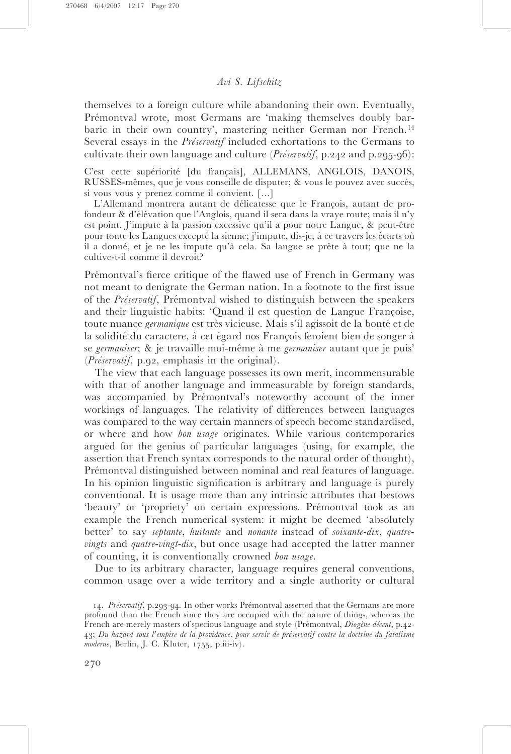themselves to a foreign culture while abandoning their own. Eventually, Prémontval wrote, most Germans are 'making themselves doubly barbaric in their own country', mastering neither German nor French.<sup>14</sup> Several essays in the *Préservatif* included exhortations to the Germans to cultivate their own language and culture (*Préservatif*, p.242 and p.295-96):

C'est cette supériorité [du français], ALLEMANS, ANGLOIS, DANOIS, RUSSES-mêmes, que je vous conseille de disputer; & vous le pouvez avec succès, si vous vous y prenez comme il convient. [...]

L'Allemand montrera autant de délicatesse que le François, autant de profondeur & d'élévation que l'Anglois, quand il sera dans la vraye route; mais il n'y est point. J'impute à la passion excessive qu'il a pour notre Langue, & peut-être pour toute les Langues excepté la sienne; j'impute, dis-je, à ce travers les écarts où il a donné, et je ne les impute qu'à cela. Sa langue se prête à tout; que ne la cultive-t-il comme il devroit?

Prémontval's fierce critique of the flawed use of French in Germany was not meant to denigrate the German nation. In a footnote to the first issue of the *Préservatif*, Prémontval wished to distinguish between the speakers and their linguistic habits: 'Quand il est question de Langue Françoise, toute nuance *germanique* est très vicieuse. Mais s'il agissoit de la bonté et de la solidité du caractere, à cet égard nos Francois feroient bien de songer à se germaniser; & je travaille moi-même à me germaniser autant que je puis'  $(Pr\acute{e}servatif, p.q2, emphasis in the original).$ 

The view that each language possesses its own merit, incommensurable with that of another language and immeasurable by foreign standards, was accompanied by Prémontval's noteworthy account of the inner workings of languages. The relativity of differences between languages was compared to the way certain manners of speech become standardised, or where and how bon usage originates. While various contemporaries argued for the genius of particular languages (using, for example, the assertion that French syntax corresponds to the natural order of thought), Prémontval distinguished between nominal and real features of language. In his opinion linguistic signification is arbitrary and language is purely conventional. It is usage more than any intrinsic attributes that bestows 'beauty' or 'propriety' on certain expressions. Prémontval took as an example the French numerical system: it might be deemed 'absolutely better' to say septante, huitante and nonante instead of soixante-dix, quatrevingts and quatre-vingt-dix, but once usage had accepted the latter manner of counting, it is conventionally crowned bon usage.

Due to its arbitrary character, language requires general conventions, common usage over a wide territory and a single authority or cultural

<sup>14.</sup> Préservatif, p.293-94. In other works Prémontval asserted that the Germans are more profound than the French since they are occupied with the nature of things, whereas the French are merely masters of specious language and style (Prémontval, Diogène décent, p.42-43; Du hazard sous l'empire de la providence, pour servir de préservatif contre la doctrine du fatalisme moderne, Berlin, J. C. Kluter, 1755, p.iii-iv).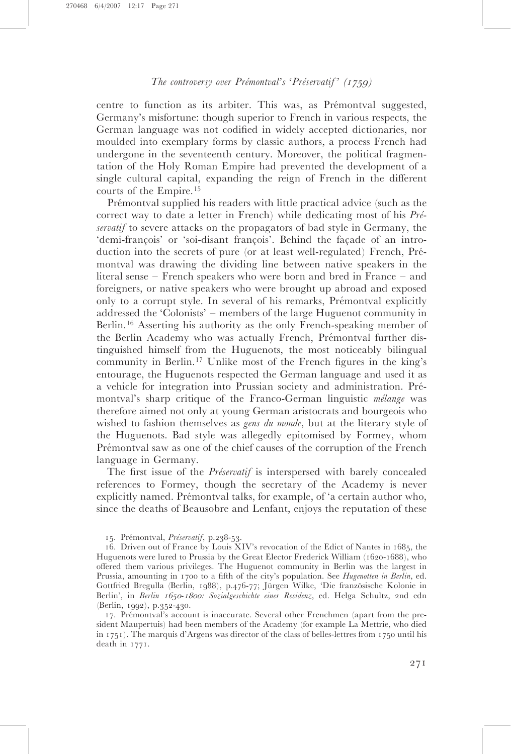centre to function as its arbiter. This was, as Prémontval suggested, Germany's misfortune: though superior to French in various respects, the German language was not codified in widely accepted dictionaries, nor moulded into exemplary forms by classic authors, a process French had undergone in the seventeenth century. Moreover, the political fragmentation of the Holy Roman Empire had prevented the development of a single cultural capital, expanding the reign of French in the different courts of the Empire.<sup>15</sup>

Prémontval supplied his readers with little practical advice (such as the correct way to date a letter in French) while dedicating most of his  $Pr\acute{e}$ servatif to severe attacks on the propagators of bad style in Germany, the 'demi-françois' or 'soi-disant françois'. Behind the façade of an introduction into the secrets of pure (or at least well-regulated) French, Prémontval was drawing the dividing line between native speakers in the literal sense – French speakers who were born and bred in France – and foreigners, or native speakers who were brought up abroad and exposed only to a corrupt style. In several of his remarks, Prémontval explicitly addressed the 'Colonists' – members of the large Huguenot community in Berlin.<sup>16</sup> Asserting his authority as the only French-speaking member of the Berlin Academy who was actually French, Prémontval further distinguished himself from the Huguenots, the most noticeably bilingual community in Berlin.<sup>17</sup> Unlike most of the French figures in the king's entourage, the Huguenots respected the German language and used it as a vehicle for integration into Prussian society and administration. Prémontval's sharp critique of the Franco-German linguistic  $m\acute{e}$ lange was therefore aimed not only at young German aristocrats and bourgeois who wished to fashion themselves as *gens du monde*, but at the literary style of the Huguenots. Bad style was allegedly epitomised by Formey, whom Prémontval saw as one of the chief causes of the corruption of the French language in Germany.

The first issue of the *Préservatif* is interspersed with barely concealed references to Formey, though the secretary of the Academy is never explicitly named. Prémontval talks, for example, of 'a certain author who, since the deaths of Beausobre and Lenfant, enjoys the reputation of these

17. Pre´montval's account is inaccurate. Several other Frenchmen (apart from the president Maupertuis) had been members of the Academy (for example La Mettrie, who died in 1751). The marquis d'Argens was director of the class of belles-lettres from 1750 until his death in 1771.

<sup>15.</sup> Prémontval, Préservatif, p.238-53.

<sup>16.</sup> Driven out of France by Louis XIV's revocation of the Edict of Nantes in 1685, the Huguenots were lured to Prussia by the Great Elector Frederick William (1620-1688), who offered them various privileges. The Huguenot community in Berlin was the largest in Prussia, amounting in 1700 to a fifth of the city's population. See Hugenotten in Berlin, ed. Gottfried Bregulla (Berlin, 1988), p.476-77; Jürgen Wilke, 'Die französische Kolonie in Berlin', in Berlin 1650-1800: Sozialgeschichte einer Residenz, ed. Helga Schultz, 2nd edn (Berlin, 1992), p.352-430.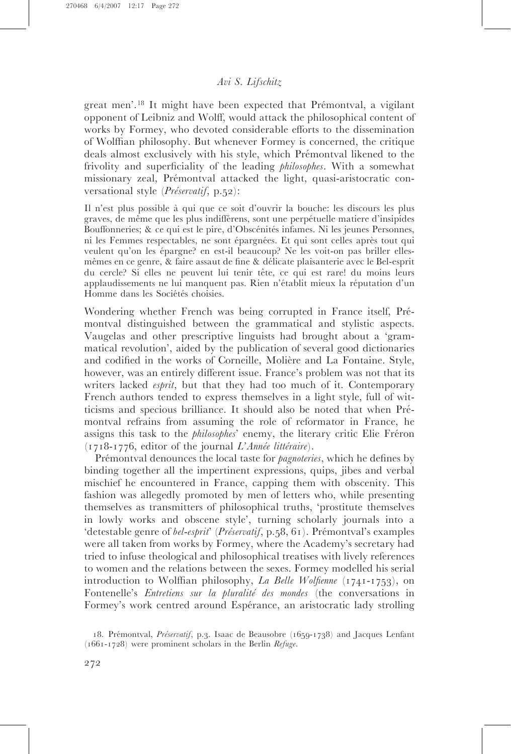great men'.<sup>18</sup> It might have been expected that Prémontval, a vigilant opponent of Leibniz and Wolff, would attack the philosophical content of works by Formey, who devoted considerable efforts to the dissemination of Wolffian philosophy. But whenever Formey is concerned, the critique deals almost exclusively with his style, which Prémontval likened to the frivolity and superficiality of the leading philosophes. With a somewhat missionary zeal, Prémontval attacked the light, quasi-aristocratic conversational style  $(Pr\acute{e}srvati\acute{f}, p.52)$ :

Il n'est plus possible a` qui que ce soit d'ouvrir la bouche: les discours les plus graves, de même que les plus indifférens, sont une perpétuelle matiere d'insipides Bouffonneries; & ce qui est le pire, d'Obscénités infames. Ni les jeunes Personnes, ni les Femmes respectables, ne sont épargnées. Et qui sont celles après tout qui veulent qu'on les épargne? en est-il beaucoup? Ne les voit-on pas briller ellesmêmes en ce genre, & faire assaut de fine & délicate plaisanterie avec le Bel-esprit du cercle? Si elles ne peuvent lui tenir tête, ce qui est rare! du moins leurs applaudissements ne lui manquent pas. Rien n'établit mieux la réputation d'un Homme dans les Sociétés choisies.

Wondering whether French was being corrupted in France itself, Prémontval distinguished between the grammatical and stylistic aspects. Vaugelas and other prescriptive linguists had brought about a 'grammatical revolution', aided by the publication of several good dictionaries and codified in the works of Corneille, Molière and La Fontaine. Style, however, was an entirely different issue. France's problem was not that its writers lacked *esprit*, but that they had too much of it. Contemporary French authors tended to express themselves in a light style, full of witticisms and specious brilliance. It should also be noted that when Prémontval refrains from assuming the role of reformator in France, he assigns this task to the *philosophes*' enemy, the literary critic Elie Fréron  $(1718-1776,$  editor of the journal  $L'Ann\acute{e}\$  littéraire).

Prémontval denounces the local taste for *pagnoteries*, which he defines by binding together all the impertinent expressions, quips, jibes and verbal mischief he encountered in France, capping them with obscenity. This fashion was allegedly promoted by men of letters who, while presenting themselves as transmitters of philosophical truths, 'prostitute themselves in lowly works and obscene style', turning scholarly journals into a 'detestable genre of *bel-esprit' (Préservatif*, p.58, 61). Prémontval's examples were all taken from works by Formey, where the Academy's secretary had tried to infuse theological and philosophical treatises with lively references to women and the relations between the sexes. Formey modelled his serial introduction to Wolffian philosophy, La Belle Wolfienne  $(1741-1753)$ , on Fontenelle's Entretiens sur la pluralité des mondes (the conversations in Formey's work centred around Espérance, an aristocratic lady strolling

18. Prémontval, Préservatif, p.3. Isaac de Beausobre (1659-1738) and Jacques Lenfant (1661-1728) were prominent scholars in the Berlin Refuge.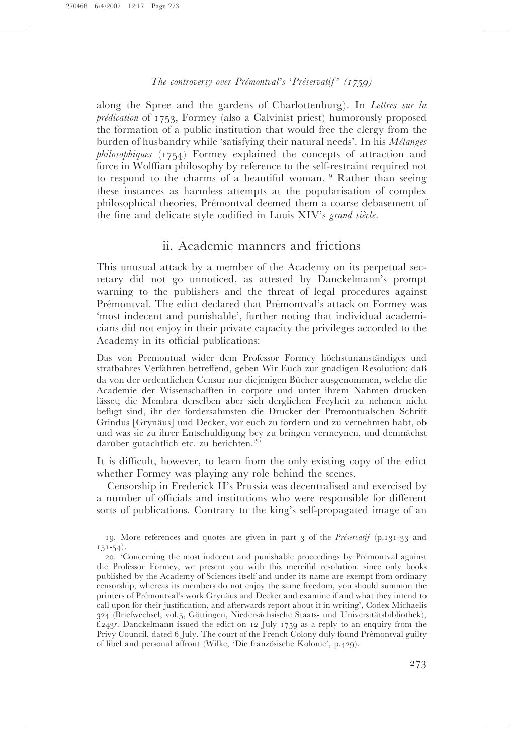along the Spree and the gardens of Charlottenburg). In Lettres sur la  $p$ rédication of 1753, Formey (also a Calvinist priest) humorously proposed the formation of a public institution that would free the clergy from the burden of husbandry while 'satisfying their natural needs'. In his  $M\acute{e}langes$ philosophiques (1754) Formey explained the concepts of attraction and force in Wolffian philosophy by reference to the self-restraint required not to respond to the charms of a beautiful woman.<sup>19</sup> Rather than seeing these instances as harmless attempts at the popularisation of complex philosophical theories, Prémontval deemed them a coarse debasement of the fine and delicate style codified in Louis  $XIV's$  grand siècle.

# ii. Academic manners and frictions

This unusual attack by a member of the Academy on its perpetual secretary did not go unnoticed, as attested by Danckelmann's prompt warning to the publishers and the threat of legal procedures against Prémontval. The edict declared that Prémontval's attack on Formey was 'most indecent and punishable', further noting that individual academicians did not enjoy in their private capacity the privileges accorded to the Academy in its official publications:

Das von Premontual wider dem Professor Formey höchstunanständiges und strafbahres Verfahren betreffend, geben Wir Euch zur gnädigen Resolution: daß da von der ordentlichen Censur nur diejenigen Bücher ausgenommen, welche die Academie der Wissenschafften in corpore und unter ihrem Nahmen drucken lässet; die Membra derselben aber sich derglichen Freyheit zu nehmen nicht befugt sind, ihr der fordersahmsten die Drucker der Premontualschen Schrift Grindus [Grynäus] und Decker, vor euch zu fordern und zu vernehmen habt, ob und was sie zu ihrer Entschuldigung bey zu bringen vermeynen, und demnächst darüber gutachtlich etc. zu berichten.<sup>20</sup>

It is difficult, however, to learn from the only existing copy of the edict whether Formey was playing any role behind the scenes.

Censorship in Frederick II's Prussia was decentralised and exercised by a number of officials and institutions who were responsible for different sorts of publications. Contrary to the king's self-propagated image of an

19. More references and quotes are given in part 3 of the Pre´servatif (p.131-33 and  $151-54$ ).

20. 'Concerning the most indecent and punishable proceedings by Prémontval against the Professor Formey, we present you with this merciful resolution: since only books published by the Academy of Sciences itself and under its name are exempt from ordinary censorship, whereas its members do not enjoy the same freedom, you should summon the printers of Prémontval's work Grynaus and Decker and examine if and what they intend to call upon for their justification, and afterwards report about it in writing', Codex Michaelis 324 (Briefwechsel, vol.5, Göttingen, Niedersächsische Staats- und Universitätsbibliothek), f.243r. Danckelmann issued the edict on 12 July 1759 as a reply to an enquiry from the Privy Council, dated 6 July. The court of the French Colony duly found Prémontval guilty of libel and personal affront (Wilke, 'Die französische Kolonie', p.429).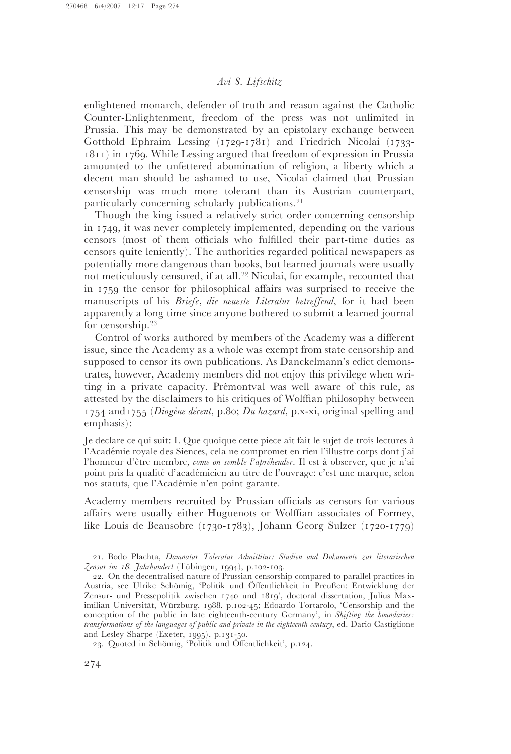enlightened monarch, defender of truth and reason against the Catholic Counter-Enlightenment, freedom of the press was not unlimited in Prussia. This may be demonstrated by an epistolary exchange between Gotthold Ephraim Lessing (1729-1781) and Friedrich Nicolai (1733- 1811) in 1769. While Lessing argued that freedom of expression in Prussia amounted to the unfettered abomination of religion, a liberty which a decent man should be ashamed to use, Nicolai claimed that Prussian censorship was much more tolerant than its Austrian counterpart, particularly concerning scholarly publications.<sup>21</sup>

Though the king issued a relatively strict order concerning censorship in 1749, it was never completely implemented, depending on the various censors (most of them officials who fulfilled their part-time duties as censors quite leniently). The authorities regarded political newspapers as potentially more dangerous than books, but learned journals were usually not meticulously censored, if at all.<sup>22</sup> Nicolai, for example, recounted that in 1759 the censor for philosophical affairs was surprised to receive the manuscripts of his Briefe, die neueste Literatur betreffend, for it had been apparently a long time since anyone bothered to submit a learned journal for censorship.<sup>23</sup>

Control of works authored by members of the Academy was a different issue, since the Academy as a whole was exempt from state censorship and supposed to censor its own publications. As Danckelmann's edict demonstrates, however, Academy members did not enjoy this privilege when writing in a private capacity. Prémontval was well aware of this rule, as attested by the disclaimers to his critiques of Wolffian philosophy between 1754 and 1755 (Diogène décent, p.80; Du hazard, p.x-xi, original spelling and emphasis):

Je declare ce qui suit: I. Que quoique cette piece ait fait le sujet de trois lectures a` l'Acade´mie royale des Siences, cela ne compromet en rien l'illustre corps dont j'ai l'honneur d'être membre, come on semble l'apréhender. Il est à observer, que je n'ai point pris la qualité d'académicien au titre de l'ouvrage: c'est une marque, selon nos statuts, que l'Académie n'en point garante.

Academy members recruited by Prussian officials as censors for various affairs were usually either Huguenots or Wolffian associates of Formey, like Louis de Beausobre (1730-1783), Johann Georg Sulzer (1720-1779)

21. Bodo Plachta, Damnatur Toleratur Admittitur: Studien und Dokumente zur literarischen Zensur im 18. Jahrhundert (Tübingen, 1994), p.102-103.

22. On the decentralised nature of Prussian censorship compared to parallel practices in Austria, see Ulrike Schömig, 'Politik und Öffentlichkeit in Preußen: Entwicklung der Zensur- und Pressepolitik zwischen 1740 und 1819', doctoral dissertation, Julius Maximilian Universität, Würzburg, 1988, p.102-45; Edoardo Tortarolo, 'Censorship and the conception of the public in late eighteenth-century Germany', in Shifting the boundaries: transformations of the languages of public and private in the eighteenth century, ed. Dario Castiglione and Lesley Sharpe (Exeter, 1995), p.131-50.

23. Quoted in Schömig, 'Politik und Öffentlichkeit', p.124.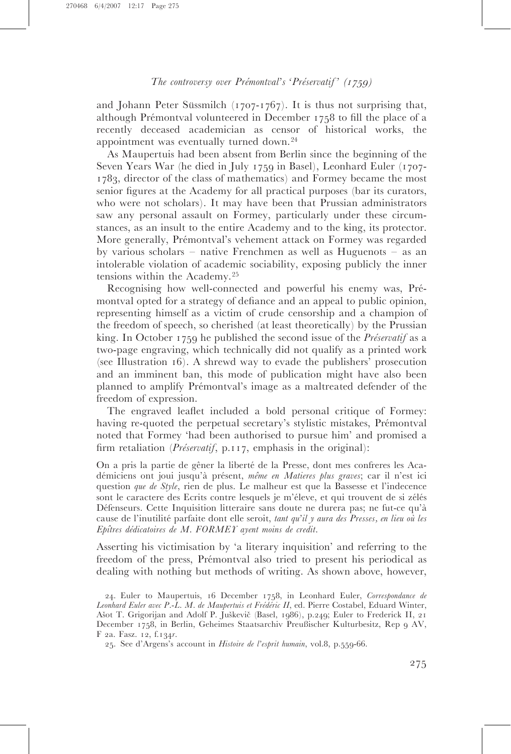and Johann Peter Süssmilch  $(1707-1767)$ . It is thus not surprising that, although Prémontval volunteered in December 1758 to fill the place of a recently deceased academician as censor of historical works, the appointment was eventually turned down.<sup>24</sup>

As Maupertuis had been absent from Berlin since the beginning of the Seven Years War (he died in July 1759 in Basel), Leonhard Euler (1707- 1783, director of the class of mathematics) and Formey became the most senior figures at the Academy for all practical purposes (bar its curators, who were not scholars). It may have been that Prussian administrators saw any personal assault on Formey, particularly under these circumstances, as an insult to the entire Academy and to the king, its protector. More generally, Prémontval's vehement attack on Formey was regarded by various scholars – native Frenchmen as well as Huguenots – as an intolerable violation of academic sociability, exposing publicly the inner tensions within the Academy.<sup>25</sup>

Recognising how well-connected and powerful his enemy was, Prémontval opted for a strategy of defiance and an appeal to public opinion, representing himself as a victim of crude censorship and a champion of the freedom of speech, so cherished (at least theoretically) by the Prussian king. In October 1759 he published the second issue of the *Préservatif* as a two-page engraving, which technically did not qualify as a printed work (see Illustration 16). A shrewd way to evade the publishers' prosecution and an imminent ban, this mode of publication might have also been planned to amplify Prémontval's image as a maltreated defender of the freedom of expression.

The engraved leaflet included a bold personal critique of Formey: having re-quoted the perpetual secretary's stylistic mistakes, Prémontval noted that Formey 'had been authorised to pursue him' and promised a firm retaliation (*Préservatif*, p.117, emphasis in the original):

On a pris la partie de gêner la liberté de la Presse, dont mes confreres les Académiciens ont joui jusqu'à présent, même en Matieres plus graves; car il n'est ici question que de Style, rien de plus. Le malheur est que la Bassesse et l'indecence sont le caractere des Ecrits contre lesquels je m'éleve, et qui trouvent de si zélés Défenseurs. Cette Inquisition litteraire sans doute ne durera pas; ne fut-ce qu'à cause de l'inutilité parfaite dont elle seroit, tant qu'il y aura des Presses, en lieu où les Epîtres dédicatoires de M. FORMEY ayent moins de credit.

Asserting his victimisation by 'a literary inquisition' and referring to the freedom of the press, Prémontval also tried to present his periodical as dealing with nothing but methods of writing. As shown above, however,

<sup>24.</sup> Euler to Maupertuis, 16 December 1758, in Leonhard Euler, Correspondance de Leonhard Euler avec P.-L. M. de Maupertuis et Frédéric II, ed. Pierre Costabel, Eduard Winter, Ašot T. Grigorijan and Adolf P. Juškevič (Basel, 1986), p.249; Euler to Frederick II, 21 December 1758, in Berlin, Geheimes Staatsarchiv Preußischer Kulturbesitz, Rep 9 AV, F 2a. Fasz. 12, f.134r.

<sup>25.</sup> See d'Argens's account in Histoire de l'esprit humain, vol.8, p.559-66.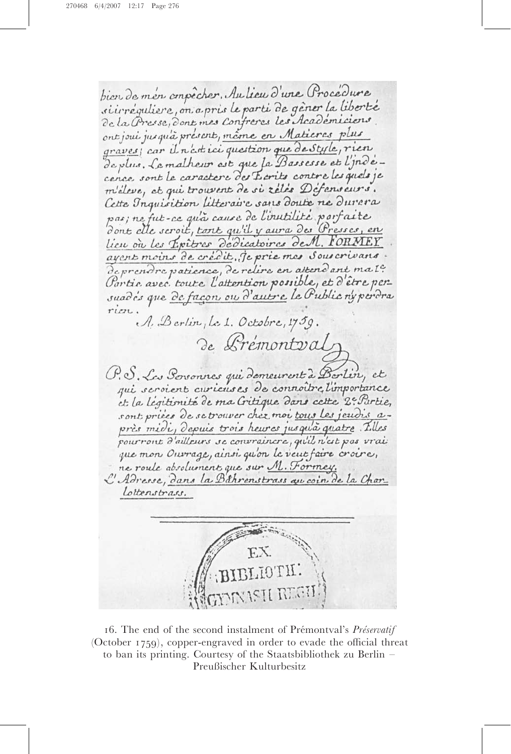bien de men empêcher. Au lieu d'une Procédure si irréguliere, on a pris le parti de gêner la liberté de la Presse, dont mes Confreres les Académicions ont joui jusqu'à présent, même en Matieres plus graves; car il n'est ici question que de Style, rien de plus. Le malheur est que la Bassesse et l'indecence sont le caractere des Ecrits contre les quels je m'éleve, et qui trouvent de si reles Défenseurs. Cette Inquisition litteraire sans doute ne durera pas; ne fut-ce qu'à cause de l'inutilité porfaite dont elle seroit, tont qu'il y aura des Presses, en lieu ou les Epitres dedicatoires de M. FORMEY ayent moins de crédit, je prie mes Sous crivans de prendre patience, de relire en attendant ma IC. Partie avec toute l'attention possible, et d'être persuadis que de façon ou d'autre le Public ny perdra rion. A. Berlin, Le 1. Octobre, 1759. de Prémontvalz P.S. Les Poronnes qui domeurent à Borlin, et qui seroient curieuses de connoitre l'importance et la légitimité de ma Critique dans cette 2e Partie, sont pries de se trouver chez moi tous les jeudis après midi, depuis trois heures jusqu'à quatre. Tilles pour ront d'ailleurs se convraincre, qu'il n'est pas vrai que mon Ouvrage, ainsi qu'on le veut faire croire, ne roule absolument que sur M. Formey. C'Adresse, dans la Béhrenstrass qu'oin de la Charlottenstrass.

16. The end of the second instalment of Prémontval's Préservatif (October 1759), copper-engraved in order to evade the official threat to ban its printing. Courtesy of the Staatsbibliothek zu Berlin – Preußischer Kulturbesitz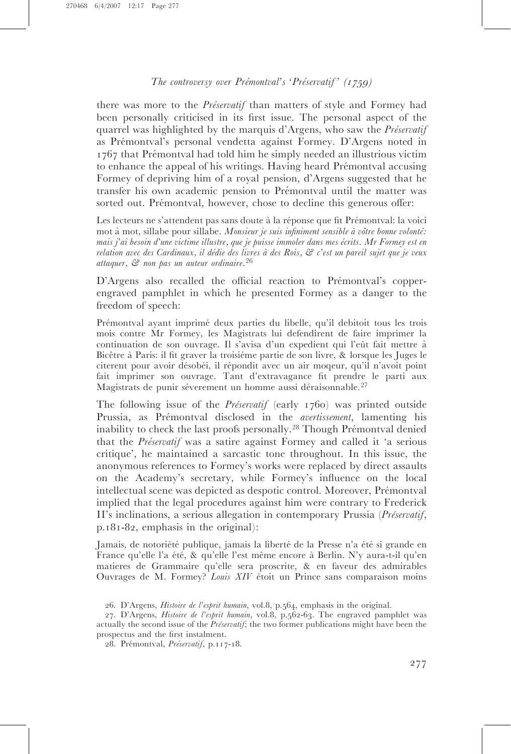there was more to the *Préservatif* than matters of style and Formey had been personally criticised in its first issue. The personal aspect of the quarrel was highlighted by the marquis d'Argens, who saw the *Préservatif* as Prémontval's personal vendetta against Formey. D'Argens noted in 1767 that Prémontval had told him he simply needed an illustrious victim to enhance the appeal of his writings. Having heard Prémontval accusing Formey of depriving him of a royal pension, d'Argens suggested that he transfer his own academic pension to Prémontval until the matter was sorted out. Prémontval, however, chose to decline this generous offer:

Les lecteurs ne s'attendent pas sans doute à la réponse que fit Prémontval: la voici mot à mot, sillabe pour sillabe. Monsieur je suis infiniment sensible à vôtre bonne volonté: mais j'ai besoin d'une victime illustre, que je puisse immoler dans mes écrits. Mr Formey est en relation avec des Cardinaux, il dédie des livres à des Rois, & c'est un pareil sujet que je veux attaquer, & non pas un auteur ordinaire. 26

D'Argens also recalled the official reaction to Prémontval's copperengraved pamphlet in which he presented Formey as a danger to the freedom of speech:

Prémontval ayant imprimé deux parties du libelle, qu'il debitoit tous les trois mois contre Mr Formey, les Magistrats lui defendirent de faire imprimer la continuation de son ouvrage. Il s'avisa d'un expedient qui l'eût fait mettre à Bicêtre à Paris: il fit graver la troisiéme partie de son livre, & lorsque les Juges le citerent pour avoir désobéi, il répondit avec un air moqeur, qu'il n'avoit point fait imprimer son ouvrage. Tant d'extravagance fit prendre le parti aux Magistrats de punir séverement un homme aussi déraisonnable.<sup>27</sup>

The following issue of the *Préservatif* (early  $1760$ ) was printed outside Prussia, as Prémontval disclosed in the *avertissement*, lamenting his inability to check the last proofs personally.<sup>28</sup> Though Prémontval denied that the *Préservatif* was a satire against Formey and called it 'a serious critique', he maintained a sarcastic tone throughout. In this issue, the anonymous references to Formey's works were replaced by direct assaults on the Academy's secretary, while Formey's influence on the local intellectual scene was depicted as despotic control. Moreover, Prémontval implied that the legal procedures against him were contrary to Frederick II's inclinations, a serious allegation in contemporary Prussia (Préservatif, p.181-82, emphasis in the original):

Jamais, de notoriété publique, jamais la liberté de la Presse n'a été si grande en France qu'elle l'a été, & qu'elle l'est même encore à Berlin. N'y aura-t-il qu'en matieres de Grammaire qu'elle sera proscrite, & en faveur des admirables Ouvrages de M. Formey? Louis XIV étoit un Prince sans comparaison moins

<sup>26.</sup> D'Argens, Histoire de l'esprit humain, vol.8, p.564, emphasis in the original.

<sup>27.</sup> D'Argens, Histoire de l'esprit humain, vol.8, p.562-63. The engraved pamphlet was actually the second issue of the  $Priservatif$ ; the two former publications might have been the prospectus and the first instalment.

<sup>28.</sup> Prémontval, Préservatif, p.117-18.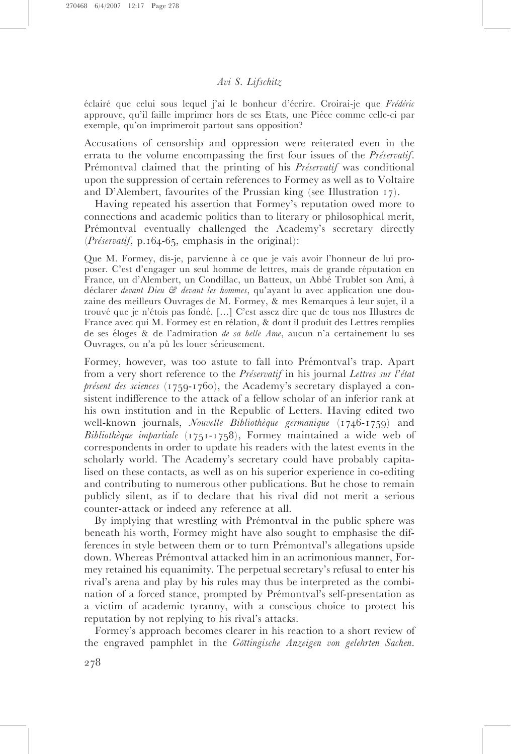éclairé que celui sous lequel j'ai le bonheur d'écrire. Croirai-je que Frédéric approuve, qu'il faille imprimer hors de ses Etats, une Piéce comme celle-ci par exemple, qu'on imprimeroit partout sans opposition?

Accusations of censorship and oppression were reiterated even in the errata to the volume encompassing the first four issues of the *Préservatif*. Prémontval claimed that the printing of his *Préservatif* was conditional upon the suppression of certain references to Formey as well as to Voltaire and D'Alembert, favourites of the Prussian king (see Illustration 17).

Having repeated his assertion that Formey's reputation owed more to connections and academic politics than to literary or philosophical merit, Prémontval eventually challenged the Academy's secretary directly  $(Pr\acute{e}servati\acute{f}, p.164-65,$  emphasis in the original):

Que M. Formey, dis-je, parvienne à ce que je vais avoir l'honneur de lui proposer. C'est d'engager un seul homme de lettres, mais de grande réputation en France, un d'Alembert, un Condillac, un Batteux, un Abbé Trublet son Ami, à déclarer devant Dieu  $\mathcal{C}$  devant les hommes, qu'ayant lu avec application une douzaine des meilleurs Ouvrages de M. Formey, & mes Remarques a` leur sujet, il a trouvé que je n'étois pas fondé. [...] C'est assez dire que de tous nos Illustres de France avec qui M. Formey est en rélation, & dont il produit des Lettres remplies de ses éloges & de l'admiration de sa belle Ame, aucun n'a certainement lu ses Ouvrages, ou n'a pû les louer sérieusement.

Formey, however, was too astute to fall into Prémontval's trap. Apart from a very short reference to the *Préservatif* in his journal Lettres sur l'état présent des sciences (1759-1760), the Academy's secretary displayed a consistent indifference to the attack of a fellow scholar of an inferior rank at his own institution and in the Republic of Letters. Having edited two well-known journals, Nouvelle Bibliothèque germanique (1746-1759) and Bibliothèque impartiale  $(1751-1758)$ , Formey maintained a wide web of correspondents in order to update his readers with the latest events in the scholarly world. The Academy's secretary could have probably capitalised on these contacts, as well as on his superior experience in co-editing and contributing to numerous other publications. But he chose to remain publicly silent, as if to declare that his rival did not merit a serious counter-attack or indeed any reference at all.

By implying that wrestling with Prémontval in the public sphere was beneath his worth, Formey might have also sought to emphasise the differences in style between them or to turn Prémontval's allegations upside down. Whereas Prémontval attacked him in an acrimonious manner, Formey retained his equanimity. The perpetual secretary's refusal to enter his rival's arena and play by his rules may thus be interpreted as the combination of a forced stance, prompted by Prémontval's self-presentation as a victim of academic tyranny, with a conscious choice to protect his reputation by not replying to his rival's attacks.

Formey's approach becomes clearer in his reaction to a short review of the engraved pamphlet in the Göttingische Anzeigen von gelehrten Sachen.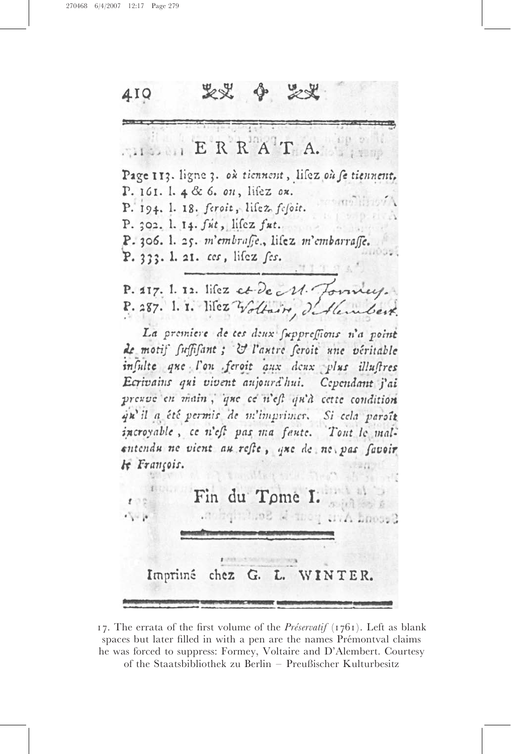

17. The errata of the first volume of the *Préservatif* (1761). Left as blank spaces but later filled in with a pen are the names Prémontval claims he was forced to suppress: Formey, Voltaire and D'Alembert. Courtesy of the Staatsbibliothek zu Berlin – Preußischer Kulturbesitz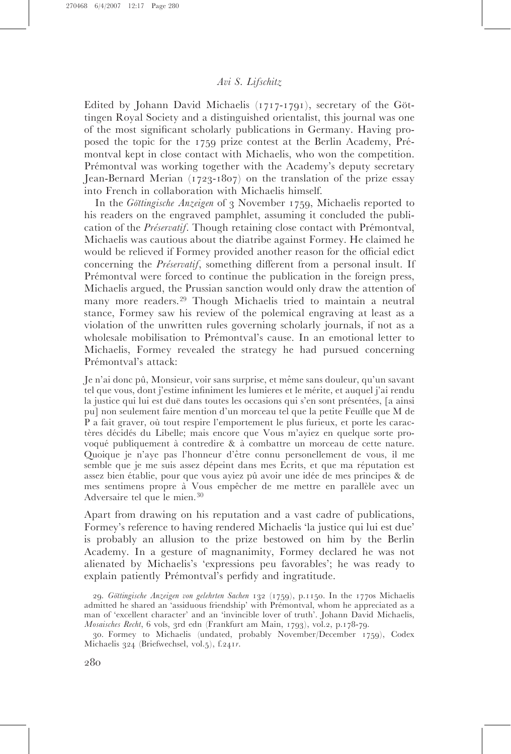Edited by Johann David Michaelis  $(1717-1791)$ , secretary of the Göttingen Royal Society and a distinguished orientalist, this journal was one of the most significant scholarly publications in Germany. Having proposed the topic for the 1759 prize contest at the Berlin Academy, Prémontval kept in close contact with Michaelis, who won the competition. Prémontval was working together with the Academy's deputy secretary Jean-Bernard Merian (1723-1807) on the translation of the prize essay into French in collaboration with Michaelis himself.

In the Göttingische Anzeigen of 3 November 1759, Michaelis reported to his readers on the engraved pamphlet, assuming it concluded the publication of the *Préservatif*. Though retaining close contact with Prémontval, Michaelis was cautious about the diatribe against Formey. He claimed he would be relieved if Formey provided another reason for the official edict concerning the *Préservatif*, something different from a personal insult. If Prémontval were forced to continue the publication in the foreign press, Michaelis argued, the Prussian sanction would only draw the attention of many more readers.<sup>29</sup> Though Michaelis tried to maintain a neutral stance, Formey saw his review of the polemical engraving at least as a violation of the unwritten rules governing scholarly journals, if not as a wholesale mobilisation to Prémontval's cause. In an emotional letter to Michaelis, Formey revealed the strategy he had pursued concerning Prémontval's attack:

Je n'ai donc pû, Monsieur, voir sans surprise, et même sans douleur, qu'un savant tel que vous, dont j'estime infiniment les lumieres et le mérite, et auquel j'ai rendu la justice qui lui est duë dans toutes les occasions qui s'en sont présentées, [a ainsi pu] non seulement faire mention d'un morceau tel que la petite Feuille que M de P a fait graver, où tout respire l'emportement le plus furieux, et porte les caractères décidés du Libelle; mais encore que Vous m'ayiez en quelque sorte provoqué publiquement à contredire & à combattre un morceau de cette nature. Quoique je n'ave pas l'honneur d'être connu personellement de vous, il me semble que je me suis assez dépeint dans mes Ecrits, et que ma réputation est assez bien établie, pour que vous ayiez pû avoir une idée de mes principes & de mes sentimens propre à Vous empêcher de me mettre en parallèle avec un Adversaire tel que le mien.<sup>30</sup>

Apart from drawing on his reputation and a vast cadre of publications, Formey's reference to having rendered Michaelis 'la justice qui lui est due' is probably an allusion to the prize bestowed on him by the Berlin Academy. In a gesture of magnanimity, Formey declared he was not alienated by Michaelis's 'expressions peu favorables'; he was ready to explain patiently Prémontval's perfidy and ingratitude.

<sup>29.</sup> Göttingische Anzeigen von gelehrten Sachen 132 (1759), p.1150. In the 1770s Michaelis admitted he shared an 'assiduous friendship' with Prémontval, whom he appreciated as a man of 'excellent character' and an 'invincible lover of truth'. Johann David Michaelis, Mosaisches Recht, 6 vols, 3rd edn (Frankfurt am Main, 1793), vol.2, p.178-79.

<sup>30.</sup> Formey to Michaelis (undated, probably November/December 1759), Codex Michaelis 324 (Briefwechsel, vol.5), f.241r.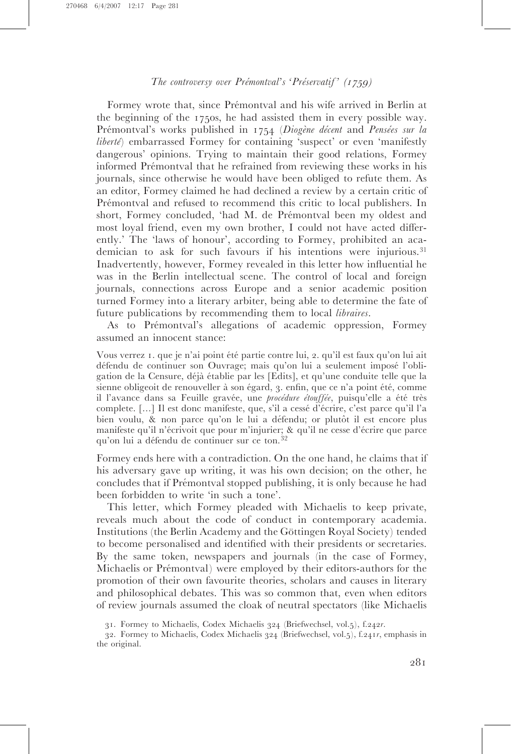Formey wrote that, since Prémontval and his wife arrived in Berlin at the beginning of the 1750s, he had assisted them in every possible way. Prémontval's works published in 1754 (Diogène décent and Pensées sur la liberté) embarrassed Formey for containing 'suspect' or even 'manifestly dangerous' opinions. Trying to maintain their good relations, Formey informed Prémontval that he refrained from reviewing these works in his journals, since otherwise he would have been obliged to refute them. As an editor, Formey claimed he had declined a review by a certain critic of Prémontval and refused to recommend this critic to local publishers. In short, Formey concluded, 'had M. de Prémontval been my oldest and most loyal friend, even my own brother, I could not have acted differently.' The 'laws of honour', according to Formey, prohibited an academician to ask for such favours if his intentions were injurious.<sup>31</sup> Inadvertently, however, Formey revealed in this letter how influential he was in the Berlin intellectual scene. The control of local and foreign journals, connections across Europe and a senior academic position turned Formey into a literary arbiter, being able to determine the fate of future publications by recommending them to local libraires.

As to Prémontval's allegations of academic oppression, Formey assumed an innocent stance:

Vous verrez 1. que je n'ai point été partie contre lui, 2. qu'il est faux qu'on lui ait défendu de continuer son Ouvrage; mais qu'on lui a seulement imposé l'obligation de la Censure, de´ja` e´tablie par les [Edits], et qu'une conduite telle que la sienne obligeoit de renouveller à son égard, 3. enfin, que ce n'a point été, comme il l'avance dans sa Feuille gravée, une *procédure étouffée*, puisqu'elle a été très complete. [...] Il est donc manifeste, que, s'il a cesse´ d'e´crire, c'est parce qu'il l'a bien voulu, & non parce qu'on le lui a défendu; or plutôt il est encore plus manifeste qu'il n'écrivoit que pour m'injurier; & qu'il ne cesse d'écrire que parce qu'on lui a défendu de continuer sur ce ton.<sup>32</sup>

Formey ends here with a contradiction. On the one hand, he claims that if his adversary gave up writing, it was his own decision; on the other, he concludes that if Prémontval stopped publishing, it is only because he had been forbidden to write 'in such a tone'.

This letter, which Formey pleaded with Michaelis to keep private, reveals much about the code of conduct in contemporary academia. Institutions (the Berlin Academy and the Göttingen Royal Society) tended to become personalised and identified with their presidents or secretaries. By the same token, newspapers and journals (in the case of Formey, Michaelis or Prémontval) were employed by their editors-authors for the promotion of their own favourite theories, scholars and causes in literary and philosophical debates. This was so common that, even when editors of review journals assumed the cloak of neutral spectators (like Michaelis

<sup>31.</sup> Formey to Michaelis, Codex Michaelis 324 (Briefwechsel, vol.5), f.242r.

<sup>32.</sup> Formey to Michaelis, Codex Michaelis 324 (Briefwechsel, vol.5), f.241r, emphasis in the original.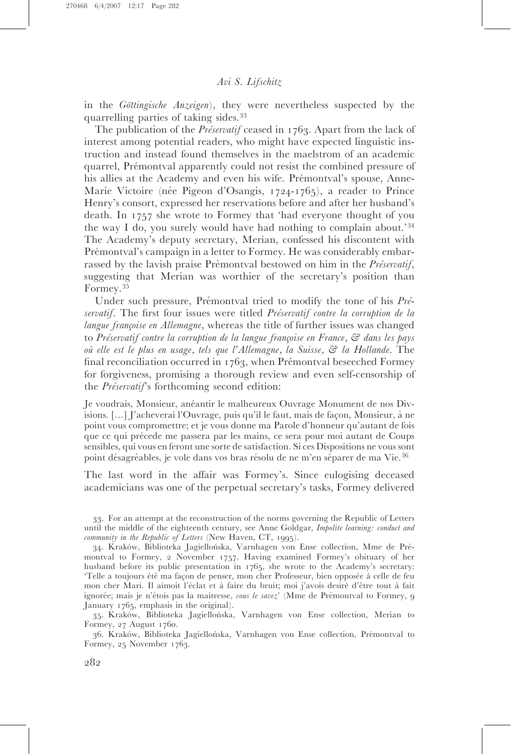in the Göttingische Anzeigen), they were nevertheless suspected by the quarrelling parties of taking sides.<sup>33</sup>

The publication of the *Préservatif* ceased in 1763. Apart from the lack of interest among potential readers, who might have expected linguistic instruction and instead found themselves in the maelstrom of an academic quarrel, Prémontval apparently could not resist the combined pressure of his allies at the Academy and even his wife. Prémontval's spouse, Anne-Marie Victoire (née Pigeon d'Osangis, 1724-1765), a reader to Prince Henry's consort, expressed her reservations before and after her husband's death. In 1757 she wrote to Formey that 'had everyone thought of you the way I do, you surely would have had nothing to complain about.'<sup>34</sup> The Academy's deputy secretary, Merian, confessed his discontent with Prémontval's campaign in a letter to Formey. He was considerably embarrassed by the lavish praise Prémontval bestowed on him in the *Préservatif*, suggesting that Merian was worthier of the secretary's position than Formey.<sup>35</sup>

Under such pressure, Prémontval tried to modify the tone of his  $Pr\acute{\iota}$ servatif. The first four issues were titled *Préservatif contre la corruption de la* langue françoise en Allemagne, whereas the title of further issues was changed to Préservatif contre la corruption de la langue françoise en France,  $\mathcal{C}$  dans les pays où elle est le plus en usage, tels que l'Allemagne, la Suisse,  $\mathcal{C}$  la Hollande. The final reconciliation occurred in  $1763$ , when Prémontval beseeched Formey for forgiveness, promising a thorough review and even self-censorship of the  $Pr$ *iservatif*'s forthcoming second edition:

Je voudrais, Monsieur, anéantir le malheureux Ouvrage Monument de nos Divisions. [...] J'acheverai l'Ouvrage, puis qu'il le faut, mais de façon, Monsieur, à ne point vous compromettre; et je vous donne ma Parole d'honneur qu'autant de fois que ce qui précede me passera par les mains, ce sera pour moi autant de Coups sensibles, qui vous en feront une sorte de satisfaction. Si ces Dispositions ne vous sont point désagréables, je vole dans vos bras résolu de ne m'en séparer de ma Vie.<sup>36</sup>

The last word in the affair was Formey's. Since eulogising deceased academicians was one of the perpetual secretary's tasks, Formey delivered

33. For an attempt at the reconstruction of the norms governing the Republic of Letters until the middle of the eighteenth century, see Anne Goldgar, Impolite learning: conduct and community in the Republic of Letters (New Haven, CT, 1995).

34. Kraków, Biblioteka Jagiellońska, Varnhagen von Ense collection, Mme de Prémontval to Formey, 2 November 1757. Having examined Formey's obituary of her husband before its public presentation in 1765, she wrote to the Academy's secretary: 'Telle a toujours été ma façon de penser, mon cher Professeur, bien opposée à celle de feu mon cher Mari. Il aimoit l'éclat et à faire du bruit; moi j'avois desiré d'être tout à fait ignorée; mais je n'étois pas la maitresse, vous le savez' (Mme de Prémontval to Formey, 9 January 1765, emphasis in the original).

35. Kraków, Biblioteka Jagiellońska, Varnhagen von Ense collection, Merian to Formey, 27 August 1760.

36. Kraków, Biblioteka Jagiellońska, Varnhagen von Ense collection, Prémontval to Formey, 25 November 1763.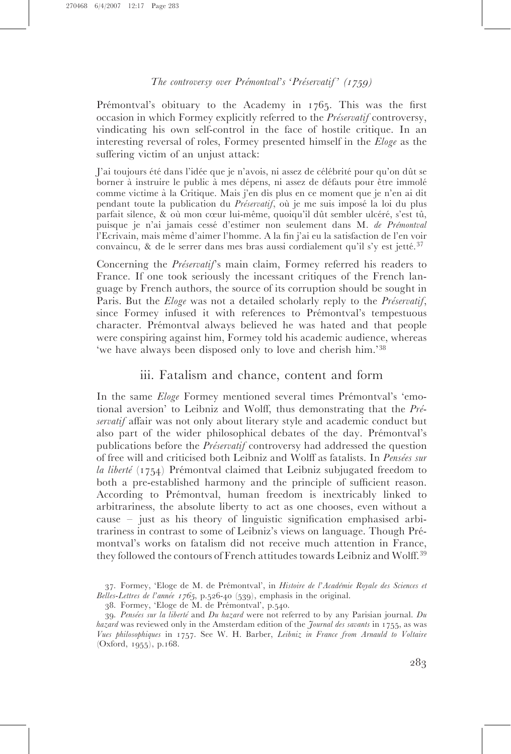Prémontval's obituary to the Academy in 1765. This was the first occasion in which Formey explicitly referred to the *Préservatif* controversy, vindicating his own self-control in the face of hostile critique. In an interesting reversal of roles, Formey presented himself in the Eloge as the suffering victim of an unjust attack:

J'ai toujours été dans l'idée que je n'avois, ni assez de célébrité pour qu'on dût se borner à instruire le public à mes dépens, ni assez de défauts pour être immolé comme victime a` la Critique. Mais j'en dis plus en ce moment que je n'en ai dit pendant toute la publication du *Préservatif*, où je me suis imposé la loi du plus parfait silence, & où mon cœur lui-même, quoiqu'il dût sembler ulcéré, s'est tû, puisque je n'ai jamais cessé d'estimer non seulement dans M. de Prémontval l'Ecrivain, mais meˆme d'aimer l'homme. A la fin j'ai eu la satisfaction de l'en voir convaincu, & de le serrer dans mes bras aussi cordialement qu'il s'y est jetté.<sup>37</sup>

Concerning the *Préservatif'*s main claim, Formey referred his readers to France. If one took seriously the incessant critiques of the French language by French authors, the source of its corruption should be sought in Paris. But the *Eloge* was not a detailed scholarly reply to the *Préservatif*, since Formey infused it with references to Prémontval's tempestuous character. Prémontval always believed he was hated and that people were conspiring against him, Formey told his academic audience, whereas 'we have always been disposed only to love and cherish him.'<sup>38</sup>

#### iii. Fatalism and chance, content and form

In the same Eloge Formey mentioned several times Prémontval's 'emotional aversion' to Leibniz and Wolff, thus demonstrating that the  $Pr\acute{\iota}$ servatif affair was not only about literary style and academic conduct but also part of the wider philosophical debates of the day. Prémontval's publications before the *Préservatif* controversy had addressed the question of free will and criticised both Leibniz and Wolff as fatalists. In Pensées sur la liberté (1754) Prémontval claimed that Leibniz subjugated freedom to both a pre-established harmony and the principle of sufficient reason. According to Prémontval, human freedom is inextricably linked to arbitrariness, the absolute liberty to act as one chooses, even without a cause – just as his theory of linguistic signification emphasised arbitrariness in contrast to some of Leibniz's views on language. Though Pre´ montval's works on fatalism did not receive much attention in France, they followed the contours of French attitudes towards Leibniz and Wolff.<sup>39</sup>

37. Formey, 'Eloge de M. de Prémontval', in Histoire de l'Académie Royale des Sciences et Belles-Lettres de l'année 1765, p.526-40 (539), emphasis in the original.

<sup>38.</sup> Formey, 'Eloge de M. de Prémontval', p.540.

<sup>39.</sup> Pensées sur la liberté and Du hazard were not referred to by any Parisian journal. Du hazard was reviewed only in the Amsterdam edition of the *Journal des savants* in 1755, as was Vues philosophiques in 1757. See W. H. Barber, Leibniz in France from Arnauld to Voltaire (Oxford, 1955), p.168.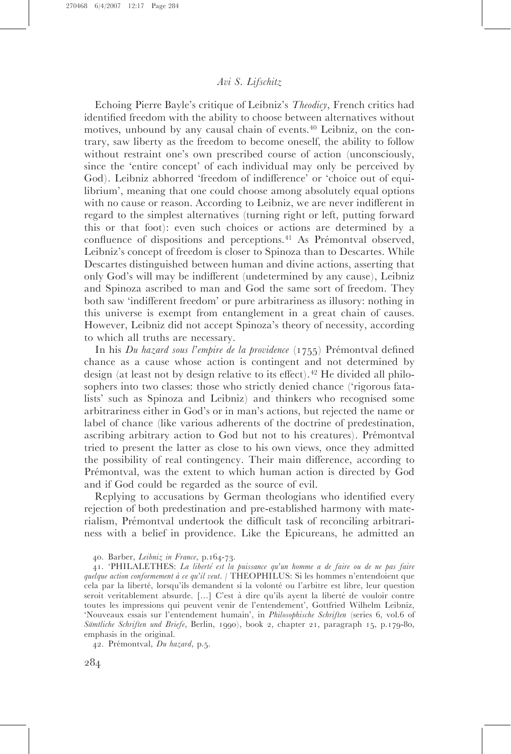Echoing Pierre Bayle's critique of Leibniz's Theodicy, French critics had identified freedom with the ability to choose between alternatives without motives, unbound by any causal chain of events.<sup>40</sup> Leibniz, on the contrary, saw liberty as the freedom to become oneself, the ability to follow without restraint one's own prescribed course of action (unconsciously, since the 'entire concept' of each individual may only be perceived by God). Leibniz abhorred 'freedom of indifference' or 'choice out of equilibrium', meaning that one could choose among absolutely equal options with no cause or reason. According to Leibniz, we are never indifferent in regard to the simplest alternatives (turning right or left, putting forward this or that foot): even such choices or actions are determined by a confluence of dispositions and perceptions.<sup>41</sup> As Prémontval observed, Leibniz's concept of freedom is closer to Spinoza than to Descartes. While Descartes distinguished between human and divine actions, asserting that only God's will may be indifferent (undetermined by any cause), Leibniz and Spinoza ascribed to man and God the same sort of freedom. They both saw 'indifferent freedom' or pure arbitrariness as illusory: nothing in this universe is exempt from entanglement in a great chain of causes. However, Leibniz did not accept Spinoza's theory of necessity, according to which all truths are necessary.

In his Du hazard sous l'empire de la providence  $(1755)$  Prémontval defined chance as a cause whose action is contingent and not determined by design (at least not by design relative to its effect).<sup> $42$ </sup> He divided all philosophers into two classes: those who strictly denied chance ('rigorous fatalists' such as Spinoza and Leibniz) and thinkers who recognised some arbitrariness either in God's or in man's actions, but rejected the name or label of chance (like various adherents of the doctrine of predestination, ascribing arbitrary action to God but not to his creatures). Prémontval tried to present the latter as close to his own views, once they admitted the possibility of real contingency. Their main difference, according to Prémontval, was the extent to which human action is directed by God and if God could be regarded as the source of evil.

Replying to accusations by German theologians who identified every rejection of both predestination and pre-established harmony with materialism, Prémontval undertook the difficult task of reconciling arbitrariness with a belief in providence. Like the Epicureans, he admitted an

42. Prémontval, Du hazard, p.5.

<sup>40.</sup> Barber, Leibniz in France, p.164-73.

<sup>41. &#</sup>x27;PHILALETHES: La liberté est la puissance qu'un homme a de faire ou de ne pas faire quelque action conformement à ce qu'il veut. / THEOPHILUS: Si les hommes n'entendoient que cela par la liberté, lorsqu'ils demandent si la volonté ou l'arbitre est libre, leur question seroit veritablement absurde. [...] C'est à dire qu'ils ayent la liberté de vouloir contre toutes les impressions qui peuvent venir de l'entendement', Gottfried Wilhelm Leibniz, 'Nouveaux essais sur l'entendement humain', in Philosophische Schriften (series 6, vol.6 of Sämtliche Schriften und Briefe, Berlin, 1990), book 2, chapter 21, paragraph 15, p.179-80, emphasis in the original.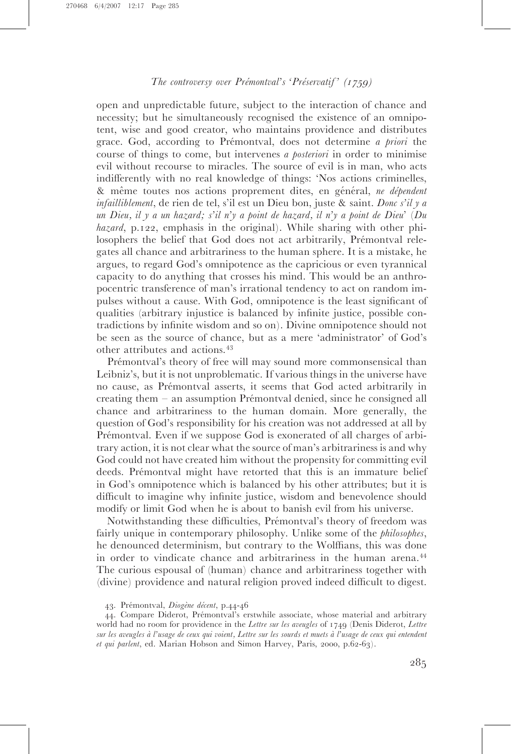open and unpredictable future, subject to the interaction of chance and necessity; but he simultaneously recognised the existence of an omnipotent, wise and good creator, who maintains providence and distributes grace. God, according to Prémontval, does not determine *a priori* the course of things to come, but intervenes a posteriori in order to minimise evil without recourse to miracles. The source of evil is in man, who acts indifferently with no real knowledge of things: 'Nos actions criminelles, & même toutes nos actions proprement dites, en général, ne dépendent infailliblement, de rien de tel, s'il est un Dieu bon, juste & saint. Donc s'il y a un Dieu, il y a un hazard; s'il n'y a point de hazard, il n'y a point de Dieu' (Du hazard, p.122, emphasis in the original). While sharing with other philosophers the belief that God does not act arbitrarily, Prémontval relegates all chance and arbitrariness to the human sphere. It is a mistake, he argues, to regard God's omnipotence as the capricious or even tyrannical capacity to do anything that crosses his mind. This would be an anthropocentric transference of man's irrational tendency to act on random impulses without a cause. With God, omnipotence is the least significant of qualities (arbitrary injustice is balanced by infinite justice, possible contradictions by infinite wisdom and so on). Divine omnipotence should not be seen as the source of chance, but as a mere 'administrator' of God's other attributes and actions.<sup>43</sup>

Prémontval's theory of free will may sound more commonsensical than Leibniz's, but it is not unproblematic. If various things in the universe have no cause, as Pre´montval asserts, it seems that God acted arbitrarily in creating them  $-$  an assumption Prémontval denied, since he consigned all chance and arbitrariness to the human domain. More generally, the question of God's responsibility for his creation was not addressed at all by Prémontval. Even if we suppose God is exonerated of all charges of arbitrary action, it is not clear what the source of man's arbitrariness is and why God could not have created him without the propensity for committing evil deeds. Prémontval might have retorted that this is an immature belief in God's omnipotence which is balanced by his other attributes; but it is difficult to imagine why infinite justice, wisdom and benevolence should modify or limit God when he is about to banish evil from his universe.

Notwithstanding these difficulties, Prémontval's theory of freedom was fairly unique in contemporary philosophy. Unlike some of the philosophes, he denounced determinism, but contrary to the Wolffians, this was done in order to vindicate chance and arbitrariness in the human arena.<sup>44</sup> The curious espousal of (human) chance and arbitrariness together with (divine) providence and natural religion proved indeed difficult to digest.

<sup>43.</sup> Prémontval, Diogène décent, p.44-46

<sup>44.</sup> Compare Diderot, Prémontval's erstwhile associate, whose material and arbitrary world had no room for providence in the Lettre sur les aveugles of 1749 (Denis Diderot, Lettre sur les aveugles à l'usage de ceux qui voient, Lettre sur les sourds et muets à l'usage de ceux qui entendent et qui parlent, ed. Marian Hobson and Simon Harvey, Paris, 2000, p.62-63).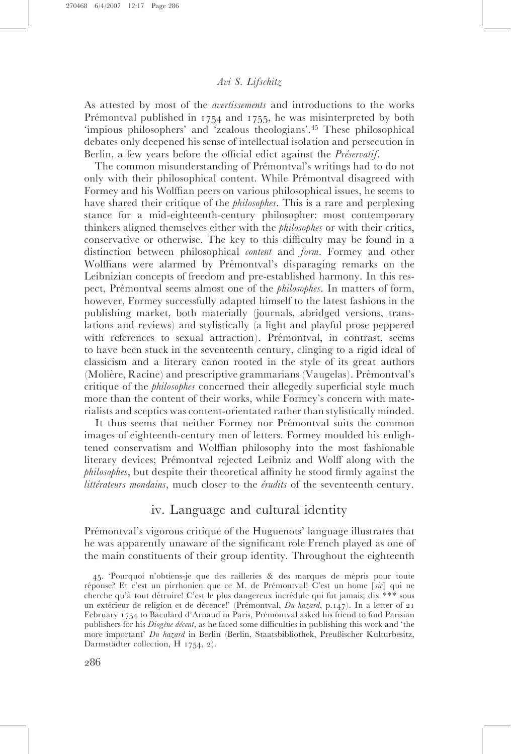As attested by most of the avertissements and introductions to the works Prémontval published in  $1754$  and  $1755$ , he was misinterpreted by both 'impious philosophers' and 'zealous theologians'.<sup>45</sup> These philosophical debates only deepened his sense of intellectual isolation and persecution in Berlin, a few years before the official edict against the *Préservatif*.

The common misunderstanding of Prémontval's writings had to do not only with their philosophical content. While Prémontval disagreed with Formey and his Wolffian peers on various philosophical issues, he seems to have shared their critique of the *philosophes*. This is a rare and perplexing stance for a mid-eighteenth-century philosopher: most contemporary thinkers aligned themselves either with the philosophes or with their critics, conservative or otherwise. The key to this difficulty may be found in a distinction between philosophical content and form. Formey and other Wolffians were alarmed by Prémontval's disparaging remarks on the Leibnizian concepts of freedom and pre-established harmony. In this respect, Prémontval seems almost one of the *philosophes*. In matters of form, however, Formey successfully adapted himself to the latest fashions in the publishing market, both materially (journals, abridged versions, translations and reviews) and stylistically (a light and playful prose peppered with references to sexual attraction). Prémontval, in contrast, seems to have been stuck in the seventeenth century, clinging to a rigid ideal of classicism and a literary canon rooted in the style of its great authors (Molière, Racine) and prescriptive grammarians (Vaugelas). Prémontval's critique of the philosophes concerned their allegedly superficial style much more than the content of their works, while Formey's concern with materialists and sceptics was content-orientated rather than stylistically minded.

It thus seems that neither Formey nor Prémontval suits the common images of eighteenth-century men of letters. Formey moulded his enlightened conservatism and Wolffian philosophy into the most fashionable literary devices; Prémontval rejected Leibniz and Wolff along with the philosophes, but despite their theoretical affinity he stood firmly against the littérateurs mondains, much closer to the érudits of the seventeenth century.

# iv. Language and cultural identity

Prémontval's vigorous critique of the Huguenots' language illustrates that he was apparently unaware of the significant role French played as one of the main constituents of their group identity. Throughout the eighteenth

<sup>45. &#</sup>x27;Pourquoi n'obtiens-je que des railleries & des marques de mépris pour toute réponse? Et c'est un pirrhonien que ce M. de Prémontval! C'est un home [sic] qui ne cherche qu'à tout détruire! C'est le plus dangereux incrédule qui fut jamais; dix \*\*\* sous un extérieur de religion et de décence!' (Prémontval, Du hazard, p.147). In a letter of 21 February 1754 to Baculard d'Arnaud in Paris, Prémontval asked his friend to find Parisian publishers for his *Diogène décent*, as he faced some difficulties in publishing this work and 'the more important' Du hazard in Berlin (Berlin, Staatsbibliothek, Preußischer Kulturbesitz, Darmstädter collection, H 1754, 2).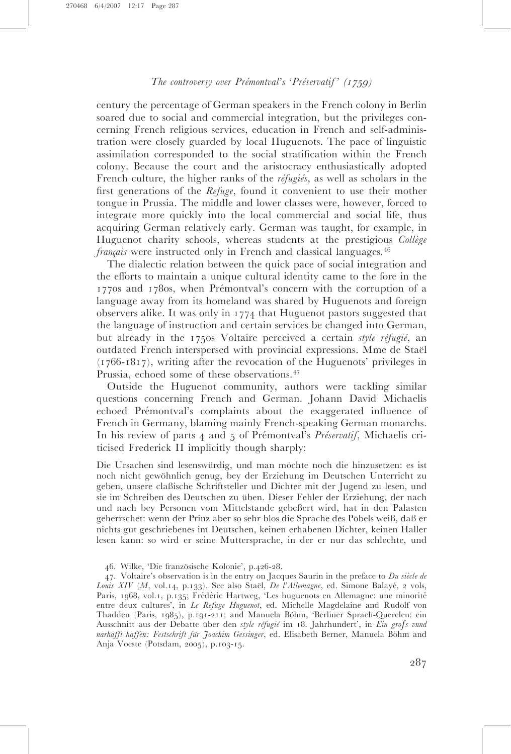century the percentage of German speakers in the French colony in Berlin soared due to social and commercial integration, but the privileges concerning French religious services, education in French and self-administration were closely guarded by local Huguenots. The pace of linguistic assimilation corresponded to the social stratification within the French colony. Because the court and the aristocracy enthusiastically adopted French culture, the higher ranks of the  $r \neq f \neq g \neq g$ , as well as scholars in the first generations of the Refuge, found it convenient to use their mother tongue in Prussia. The middle and lower classes were, however, forced to integrate more quickly into the local commercial and social life, thus acquiring German relatively early. German was taught, for example, in Huguenot charity schools, whereas students at the prestigious Collège  $français$  were instructed only in French and classical languages.<sup>46</sup>

The dialectic relation between the quick pace of social integration and the efforts to maintain a unique cultural identity came to the fore in the 1770s and 1780s, when Prémontval's concern with the corruption of a language away from its homeland was shared by Huguenots and foreign observers alike. It was only in 1774 that Huguenot pastors suggested that the language of instruction and certain services be changed into German, but already in the 1750s Voltaire perceived a certain style réfugié, an outdated French interspersed with provincial expressions. Mme de Staël (1766-1817), writing after the revocation of the Huguenots' privileges in Prussia, echoed some of these observations.<sup>47</sup>

Outside the Huguenot community, authors were tackling similar questions concerning French and German. Johann David Michaelis echoed Prémontval's complaints about the exaggerated influence of French in Germany, blaming mainly French-speaking German monarchs. In his review of parts 4 and 5 of Prémontval's Préservatif, Michaelis criticised Frederick II implicitly though sharply:

Die Ursachen sind lesenswürdig, und man möchte noch die hinzusetzen: es ist noch nicht gewöhnlich genug, bey der Erziehung im Deutschen Unterricht zu geben, unsere claßische Schriftsteller und Dichter mit der Jugend zu lesen, und sie im Schreiben des Deutschen zu üben. Dieser Fehler der Erziehung, der nach und nach bey Personen vom Mittelstande gebeßert wird, hat in den Palasten geherrschet: wenn der Prinz aber so sehr blos die Sprache des Pöbels weiß, daß er nichts gut geschriebenes im Deutschen, keinen erhabenen Dichter, keinen Haller lesen kann: so wird er seine Muttersprache, in der er nur das schlechte, und

<sup>46.</sup> Wilke, 'Die französische Kolonie', p.426-28.

<sup>47.</sup> Voltaire's observation is in the entry on Jacques Saurin in the preface to  $Du$  siècle de Louis XIV (M, vol.14, p.133). See also Staël, De l'Allemagne, ed. Simone Balayé, 2 vols, Paris, 1968, vol.1, p.135; Frédéric Hartweg, 'Les huguenots en Allemagne: une minorité entre deux cultures', in Le Refuge Huguenot, ed. Michelle Magdelaine and Rudolf von Thadden (Paris, 1985), p.191-211; and Manuela Böhm, 'Berliner Sprach-Querelen: ein Ausschnitt aus der Debatte über den style réfugié im 18. Jahrhundert', in Ein grofs vnnd narhafft haffen: Festschrift für Joachim Gessinger, ed. Elisabeth Berner, Manuela Böhm and Anja Voeste (Potsdam, 2005), p.103-15.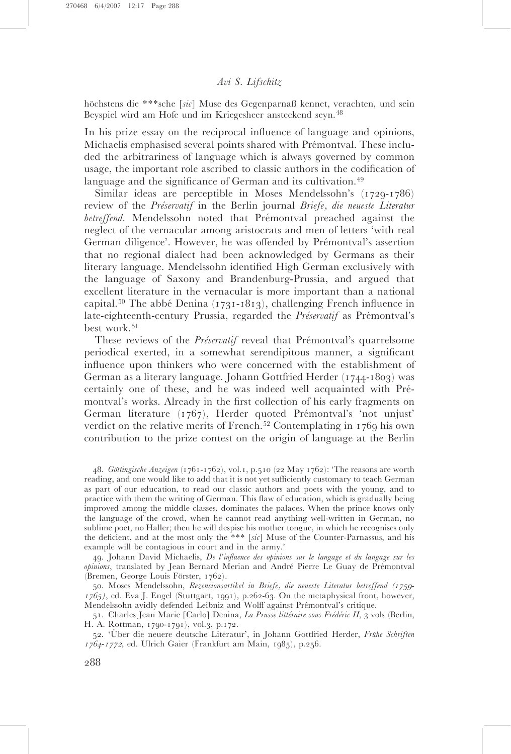höchstens die \*\*\*sche [sic] Muse des Gegenparnaß kennet, verachten, und sein Beyspiel wird am Hofe und im Kriegesheer ansteckend seyn.<sup>48</sup>

In his prize essay on the reciprocal influence of language and opinions, Michaelis emphasised several points shared with Prémontval. These included the arbitrariness of language which is always governed by common usage, the important role ascribed to classic authors in the codification of language and the significance of German and its cultivation.<sup>49</sup>

Similar ideas are perceptible in Moses Mendelssohn's (1729-1786) review of the Préservatif in the Berlin journal Briefe, die neueste Literatur betreffend. Mendelssohn noted that Prémontval preached against the neglect of the vernacular among aristocrats and men of letters 'with real German diligence'. However, he was offended by Prémontval's assertion that no regional dialect had been acknowledged by Germans as their literary language. Mendelssohn identified High German exclusively with the language of Saxony and Brandenburg-Prussia, and argued that excellent literature in the vernacular is more important than a national capital.<sup>50</sup> The abbe Denina (1731-1813), challenging French influence in late-eighteenth-century Prussia, regarded the Préservatif as Prémontval's best work.<sup>51</sup>

These reviews of the *Préservatif* reveal that Prémontval's quarrelsome periodical exerted, in a somewhat serendipitous manner, a significant influence upon thinkers who were concerned with the establishment of German as a literary language. Johann Gottfried Herder (1744-1803) was certainly one of these, and he was indeed well acquainted with Prémontval's works. Already in the first collection of his early fragments on German literature  $(1767)$ , Herder quoted Prémontval's 'not unjust' verdict on the relative merits of French.<sup>52</sup> Contemplating in 1769 his own contribution to the prize contest on the origin of language at the Berlin

48. Göttingische Anzeigen (1761-1762), vol.1, p.510 (22 May 1762): 'The reasons are worth reading, and one would like to add that it is not yet sufficiently customary to teach German as part of our education, to read our classic authors and poets with the young, and to practice with them the writing of German. This flaw of education, which is gradually being improved among the middle classes, dominates the palaces. When the prince knows only the language of the crowd, when he cannot read anything well-written in German, no sublime poet, no Haller; then he will despise his mother tongue, in which he recognises only the deficient, and at the most only the \*\*\* [sic] Muse of the Counter-Parnassus, and his example will be contagious in court and in the army.'

49. Johann David Michaelis, De l'influence des opinions sur le langage et du langage sur les opinions, translated by Jean Bernard Merian and André Pierre Le Guay de Prémontval (Bremen, George Louis Förster, 1762).

50. Moses Mendelssohn, Rezensionsartikel in Briefe, die neueste Literatur betreffend (1759-  $1765$ ), ed. Eva J. Engel (Stuttgart, 1991), p.262-63. On the metaphysical front, however, Mendelssohn avidly defended Leibniz and Wolff against Prémontval's critique.

51. Charles Jean Marie [Carlo] Denina, La Prusse littéraire sous Frédéric II, 3 vols (Berlin, H. A. Rottman, 1790-1791), vol.3, p.172.

52. 'Über die neuere deutsche Literatur', in Johann Gottfried Herder, Frühe Schriften 1764-1772, ed. Ulrich Gaier (Frankfurt am Main, 1985), p.256.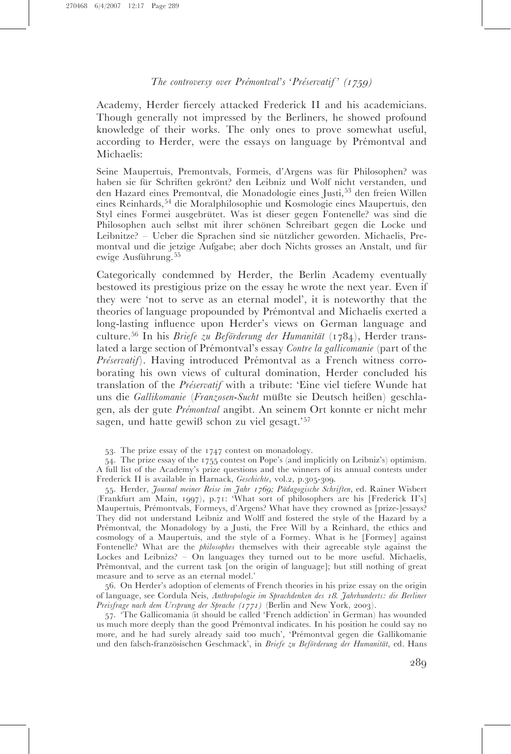Academy, Herder fiercely attacked Frederick II and his academicians. Though generally not impressed by the Berliners, he showed profound knowledge of their works. The only ones to prove somewhat useful, according to Herder, were the essays on language by Prémontval and Michaelis:

Seine Maupertuis, Premontvals, Formeis, d'Argens was für Philosophen? was haben sie für Schriften gekrönt? den Leibniz und Wolf nicht verstanden, und den Hazard eines Premontval, die Monadologie eines Justi,<sup>53</sup> den freien Willen eines Reinhards,<sup>54</sup> die Moralphilosophie und Kosmologie eines Maupertuis, den Styl eines Formei ausgebrütet. Was ist dieser gegen Fontenelle? was sind die Philosophen auch selbst mit ihrer schönen Schreibart gegen die Locke und Leibnitze? – Ueber die Sprachen sind sie nützlicher geworden. Michaelis, Premontval und die jetzige Aufgabe; aber doch Nichts grosses an Anstalt, und für ewige Ausführung.<sup>55</sup>

Categorically condemned by Herder, the Berlin Academy eventually bestowed its prestigious prize on the essay he wrote the next year. Even if they were 'not to serve as an eternal model', it is noteworthy that the theories of language propounded by Prémontval and Michaelis exerted a long-lasting influence upon Herder's views on German language and culture.<sup>56</sup> In his *Briefe zu Beförderung der Humanität* (1784), Herder translated a large section of Prémontval's essay Contre la gallicomanie (part of the  $Pr\acute{e}servati\acute{f}$ . Having introduced Prémontval as a French witness corroborating his own views of cultural domination, Herder concluded his translation of the *Préservatif* with a tribute: 'Eine viel tiefere Wunde hat uns die Gallikomanie (Franzosen-Sucht müßte sie Deutsch heißen) geschlagen, als der gute *Prémontval* angibt. An seinem Ort konnte er nicht mehr sagen, und hatte gewiß schon zu viel gesagt.'<sup>57</sup>

53. The prize essay of the 1747 contest on monadology.

54. The prize essay of the 1755 contest on Pope's (and implicitly on Leibniz's) optimism. A full list of the Academy's prize questions and the winners of its annual contests under Frederick II is available in Harnack, Geschichte, vol.2, p.305-309.

55. Herder, Journal meiner Reise im Jahr 1769; Pädagogische Schriften, ed. Rainer Wisbert (Frankfurt am Main, 1997), p.71: 'What sort of philosophers are his [Frederick II's] Maupertuis, Prémontvals, Formeys, d'Argens? What have they crowned as [prize-]essays? They did not understand Leibniz and Wolff and fostered the style of the Hazard by a Prémontval, the Monadology by a Justi, the Free Will by a Reinhard, the ethics and cosmology of a Maupertuis, and the style of a Formey. What is he [Formey] against Fontenelle? What are the philosophes themselves with their agreeable style against the Lockes and Leibnizs? – On languages they turned out to be more useful. Michaelis, Prémontval, and the current task [on the origin of language]; but still nothing of great measure and to serve as an eternal model.'

56. On Herder's adoption of elements of French theories in his prize essay on the origin of language, see Cordula Neis, Anthropologie im Sprachdenken des <sup>18</sup>. Jahrhunderts: die Berliner Preisfrage nach dem Ursprung der Sprache (1771) (Berlin and New York, 2003).

57. 'The Gallicomania (it should be called 'French addiction' in German) has wounded us much more deeply than the good Prémontval indicates. In his position he could say no more, and he had surely already said too much', 'Prémontval gegen die Gallikomanie und den falsch-französischen Geschmack', in Briefe zu Beförderung der Humanität, ed. Hans